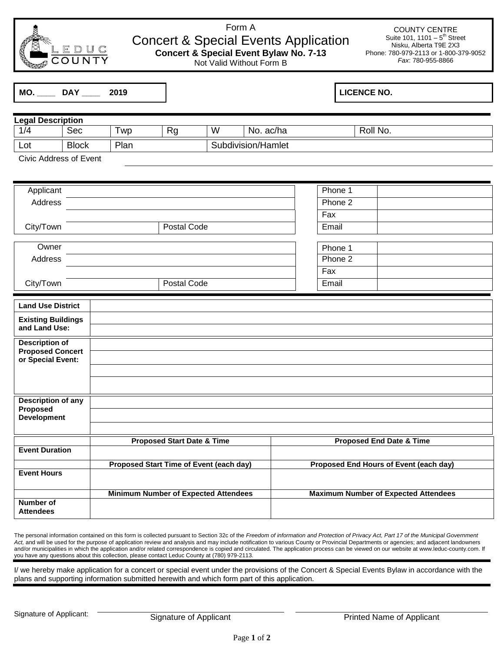

## Form A Concert & Special Events Application **Concert & Special Event Bylaw No. 7-13**

Not Valid Without Form B

COUNTY CENTRE Suite 101, 1101  $-5<sup>th</sup>$  Street Nisku, Alberta T9E 2X3 Phone: 780-979-2113 or 1-800-379-9052 *Fax*: 780-955-8866

| MO. | DAY | 2019 |
|-----|-----|------|
|-----|-----|------|

## **MO. \_\_\_\_ DAY \_\_\_\_ 2019 LICENCE NO.**

| <b>Legal Description</b> |              |           |    |   |                    |          |
|--------------------------|--------------|-----------|----|---|--------------------|----------|
| 1/4                      | Sec          | <b>WD</b> | Rg | W | ac/ha<br>No.       | Roll No. |
| Lot                      | <b>Block</b> | Plan      |    |   | Subdivision/Hamlet |          |

Civic Address of Event

| Applicant |             | Phone 1 |  |
|-----------|-------------|---------|--|
| Address   |             | Phone 2 |  |
|           |             | Fax     |  |
| City/Town | Postal Code | Email   |  |
|           |             |         |  |
| Owner     |             | Phone 1 |  |
| Address   |             | Phone 2 |  |
|           |             | Fax     |  |
| City/Town | Postal Code | Email   |  |

| <b>Land Use District</b>  |                                             |                                             |
|---------------------------|---------------------------------------------|---------------------------------------------|
| <b>Existing Buildings</b> |                                             |                                             |
| and Land Use:             |                                             |                                             |
|                           |                                             |                                             |
| <b>Description of</b>     |                                             |                                             |
| <b>Proposed Concert</b>   |                                             |                                             |
| or Special Event:         |                                             |                                             |
|                           |                                             |                                             |
|                           |                                             |                                             |
|                           |                                             |                                             |
| Description of any        |                                             |                                             |
| Proposed                  |                                             |                                             |
| <b>Development</b>        |                                             |                                             |
|                           |                                             |                                             |
|                           | <b>Proposed Start Date &amp; Time</b>       | <b>Proposed End Date &amp; Time</b>         |
| <b>Event Duration</b>     |                                             |                                             |
|                           |                                             |                                             |
|                           | Proposed Start Time of Event (each day)     | Proposed End Hours of Event (each day)      |
| <b>Event Hours</b>        |                                             |                                             |
|                           |                                             |                                             |
|                           | <b>Minimum Number of Expected Attendees</b> | <b>Maximum Number of Expected Attendees</b> |
| Number of                 |                                             |                                             |
| <b>Attendees</b>          |                                             |                                             |

The personal information contained on this form is collected pursuant to Section 32c of the *Freedom of information and Protection of Privacy Act, Part 17 of the Municipal Government*  Act, and will be used for the purpose of application review and analysis and may include notification to various County or Provincial Departments or agencies; and adjacent landowners and/or municipalities in which the application and/or related correspondence is copied and circulated. The application process can be viewed on our website a[t www.leduc-county.com.](http://www.leduc-county.com/) If you have any questions about this collection, please contact Leduc County at (780) 979-2113.

I/ we hereby make application for a concert or special event under the provisions of the Concert & Special Events Bylaw in accordance with the plans and supporting information submitted herewith and which form part of this application.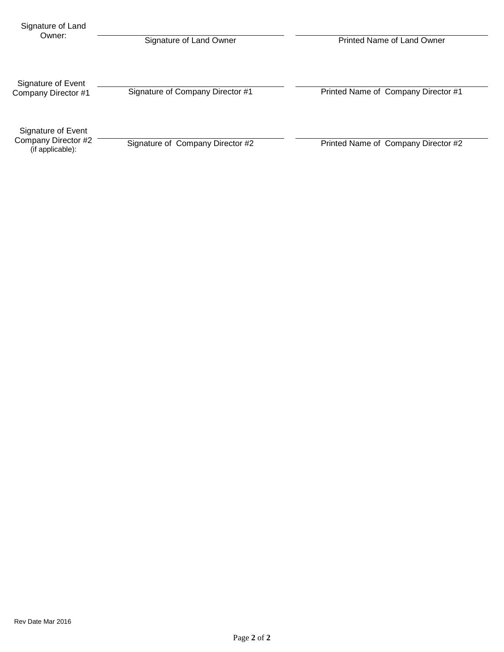| Signature of Land                                             |                                  |                                     |  |  |
|---------------------------------------------------------------|----------------------------------|-------------------------------------|--|--|
| Owner:                                                        | Signature of Land Owner          | Printed Name of Land Owner          |  |  |
| Signature of Event<br>Company Director #1                     | Signature of Company Director #1 | Printed Name of Company Director #1 |  |  |
| Signature of Event<br>Company Director #2<br>(if applicable): | Signature of Company Director #2 | Printed Name of Company Director #2 |  |  |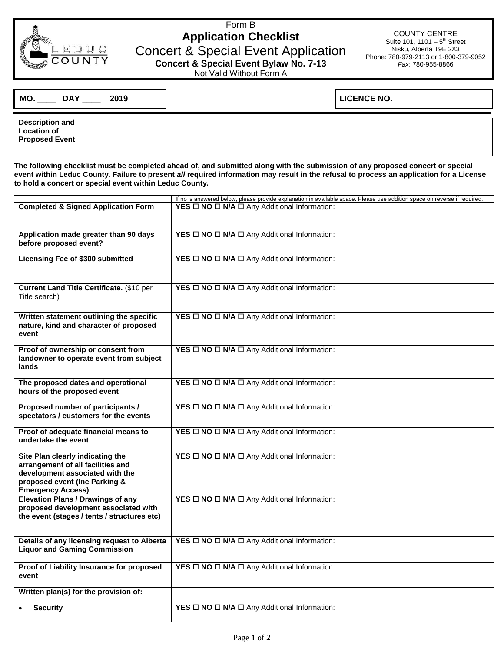

## Form B **Application Checklist** Concert & Special Event Application **Concert & Special Event Bylaw No. 7-13**

COUNTY CENTRE Suite 101, 1101  $-5<sup>th</sup>$  Street Nisku, Alberta T9E 2X3 Phone: 780-979-2113 or 1-800-379-9052 *Fax*: 780-955-8866

Not Valid Without Form A

| MO. | <b>DAY</b> | 2019 |  |
|-----|------------|------|--|

**MO. \_\_\_\_ DAY \_\_\_\_ 2019 LICENCE NO.**

| <b>Description and</b> |  |
|------------------------|--|
|                        |  |
| <b>Location of</b>     |  |
| <b>Proposed Event</b>  |  |
|                        |  |
|                        |  |

**The following checklist must be completed ahead of, and submitted along with the submission of any proposed concert or special event within Leduc County. Failure to present** *all* **required information may result in the refusal to process an application for a License to hold a concert or special event within Leduc County.** 

|                                                                                                                                                                       | If no is answered below, please provide explanation in available space. Please use addition space on reverse if required. |
|-----------------------------------------------------------------------------------------------------------------------------------------------------------------------|---------------------------------------------------------------------------------------------------------------------------|
| <b>Completed &amp; Signed Application Form</b>                                                                                                                        | YES □ NO □ N/A □ Any Additional Information:                                                                              |
| Application made greater than 90 days<br>before proposed event?                                                                                                       | YES $\Box$ NO $\Box$ N/A $\Box$ Any Additional Information:                                                               |
| Licensing Fee of \$300 submitted                                                                                                                                      | YES $\Box$ NO $\Box$ N/A $\Box$ Any Additional Information:                                                               |
| Current Land Title Certificate. (\$10 per<br>Title search)                                                                                                            | YES $\square$ NO $\square$ N/A $\square$ Any Additional Information:                                                      |
| Written statement outlining the specific<br>nature, kind and character of proposed<br>event                                                                           | YES $\Box$ NO $\Box$ N/A $\Box$ Any Additional Information:                                                               |
| Proof of ownership or consent from<br>landowner to operate event from subject<br>lands                                                                                | YES $\square$ NO $\square$ N/A $\square$ Any Additional Information:                                                      |
| The proposed dates and operational<br>hours of the proposed event                                                                                                     | YES $\Box$ NO $\Box$ N/A $\Box$ Any Additional Information:                                                               |
| Proposed number of participants /<br>spectators / customers for the events                                                                                            | YES □ NO □ N/A □ Any Additional Information:                                                                              |
| Proof of adequate financial means to<br>undertake the event                                                                                                           | YES $\Box$ NO $\Box$ N/A $\Box$ Any Additional Information:                                                               |
| Site Plan clearly indicating the<br>arrangement of all facilities and<br>development associated with the<br>proposed event (Inc Parking &<br><b>Emergency Access)</b> | YES $\Box$ NO $\Box$ N/A $\Box$ Any Additional Information:                                                               |
| <b>Elevation Plans / Drawings of any</b><br>proposed development associated with<br>the event (stages / tents / structures etc)                                       | YES $\square$ NO $\square$ N/A $\square$ Any Additional Information:                                                      |
| Details of any licensing request to Alberta<br><b>Liquor and Gaming Commission</b>                                                                                    | YES $\Box$ NO $\Box$ N/A $\Box$ Any Additional Information:                                                               |
| Proof of Liability Insurance for proposed<br>event                                                                                                                    | YES $\square$ NO $\square$ N/A $\square$ Any Additional Information:                                                      |
| Written plan(s) for the provision of:                                                                                                                                 |                                                                                                                           |
| <b>Security</b>                                                                                                                                                       | YES $\square$ NO $\square$ N/A $\square$ Any Additional Information:                                                      |